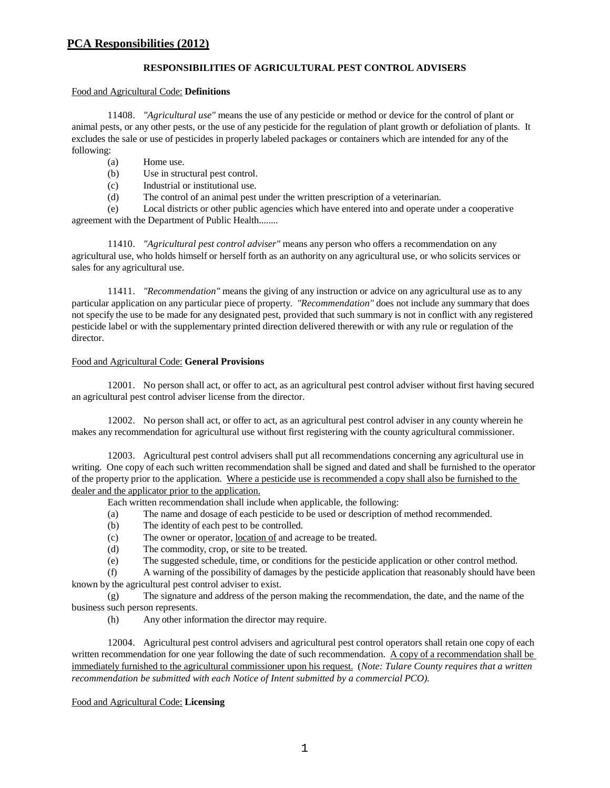### **RESPONSIBILITIES OF AGRICULTURAL PEST CONTROL ADVISERS**

#### Food and Agricultural Code: **Definitions**

11408. *"Agricultural use"* means the use of any pesticide or method or device for the control of plant or animal pests, or any other pests, or the use of any pesticide for the regulation of plant growth or defoliation of plants. It excludes the sale or use of pesticides in properly labeled packages or containers which are intended for any of the following:

- (a) Home use.
- (b) Use in structural pest control.
- (c) Industrial or institutional use.
- (d) The control of an animal pest under the written prescription of a veterinarian.

(e) Local districts or other public agencies which have entered into and operate under a cooperative agreement with the Department of Public Health........

11410. *"Agricultural pest control adviser"* means any person who offers a recommendation on any agricultural use, who holds himself or herself forth as an authority on any agricultural use, or who solicits services or sales for any agricultural use.

11411. *"Recommendation"* means the giving of any instruction or advice on any agricultural use as to any particular application on any particular piece of property. *"Recommendation"* does not include any summary that does not specify the use to be made for any designated pest, provided that such summary is not in conflict with any registered pesticide label or with the supplementary printed direction delivered therewith or with any rule or regulation of the director.

#### Food and Agricultural Code: **General Provisions**

12001. No person shall act, or offer to act, as an agricultural pest control adviser without first having secured an agricultural pest control adviser license from the director.

12002. No person shall act, or offer to act, as an agricultural pest control adviser in any county wherein he makes any recommendation for agricultural use without first registering with the county agricultural commissioner.

12003. Agricultural pest control advisers shall put all recommendations concerning any agricultural use in writing. One copy of each such written recommendation shall be signed and dated and shall be furnished to the operator of the property prior to the application. Where a pesticide use is recommended a copy shall also be furnished to the dealer and the applicator prior to the application.

Each written recommendation shall include when applicable, the following:

- (a) The name and dosage of each pesticide to be used or description of method recommended.
- (b) The identity of each pest to be controlled.
- (c) The owner or operator, location of and acreage to be treated.
- (d) The commodity, crop, or site to be treated.
- (e) The suggested schedule, time, or conditions for the pesticide application or other control method.

(f) A warning of the possibility of damages by the pesticide application that reasonably should have been known by the agricultural pest control adviser to exist.

(g) The signature and address of the person making the recommendation, the date, and the name of the business such person represents.

(h) Any other information the director may require.

12004. Agricultural pest control advisers and agricultural pest control operators shall retain one copy of each written recommendation for one year following the date of such recommendation. A copy of a recommendation shall be immediately furnished to the agricultural commissioner upon his request. (*Note: Tulare County requires that a written recommendation be submitted with each Notice of Intent submitted by a commercial PCO).*

### Food and Agricultural Code: **Licensing**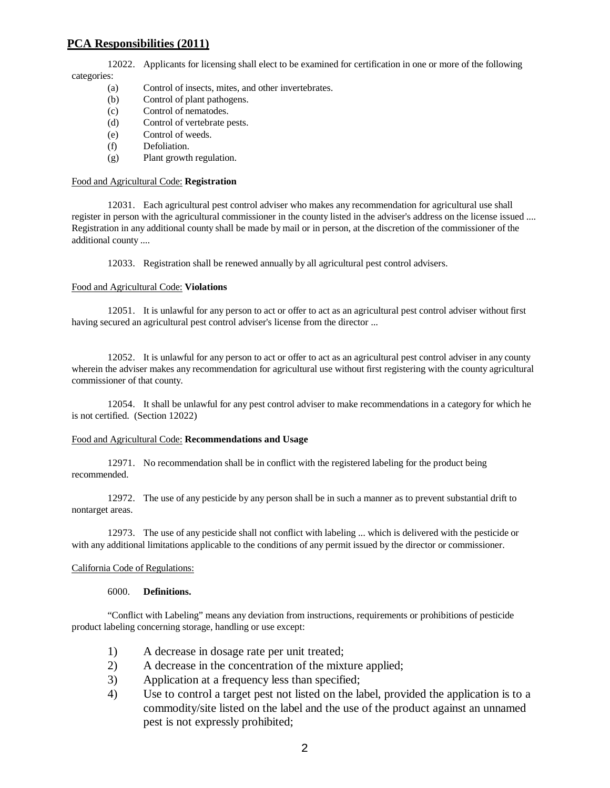12022. Applicants for licensing shall elect to be examined for certification in one or more of the following categories:

- (a) Control of insects, mites, and other invertebrates.
- (b) Control of plant pathogens.
- (c) Control of nematodes.
- (d) Control of vertebrate pests.
- (e) Control of weeds.
- (f) Defoliation.
- (g) Plant growth regulation.

#### Food and Agricultural Code: **Registration**

12031. Each agricultural pest control adviser who makes any recommendation for agricultural use shall register in person with the agricultural commissioner in the county listed in the adviser's address on the license issued .... Registration in any additional county shall be made by mail or in person, at the discretion of the commissioner of the additional county ....

12033. Registration shall be renewed annually by all agricultural pest control advisers.

#### Food and Agricultural Code: **Violations**

12051. It is unlawful for any person to act or offer to act as an agricultural pest control adviser without first having secured an agricultural pest control adviser's license from the director ...

12052. It is unlawful for any person to act or offer to act as an agricultural pest control adviser in any county wherein the adviser makes any recommendation for agricultural use without first registering with the county agricultural commissioner of that county.

12054. It shall be unlawful for any pest control adviser to make recommendations in a category for which he is not certified. (Section 12022)

#### Food and Agricultural Code: **Recommendations and Usage**

12971. No recommendation shall be in conflict with the registered labeling for the product being recommended.

12972. The use of any pesticide by any person shall be in such a manner as to prevent substantial drift to nontarget areas.

12973. The use of any pesticide shall not conflict with labeling ... which is delivered with the pesticide or with any additional limitations applicable to the conditions of any permit issued by the director or commissioner.

#### California Code of Regulations:

#### 6000. **Definitions.**

"Conflict with Labeling" means any deviation from instructions, requirements or prohibitions of pesticide product labeling concerning storage, handling or use except:

- 1) A decrease in dosage rate per unit treated;
- 2) A decrease in the concentration of the mixture applied;
- 3) Application at a frequency less than specified;
- 4) Use to control a target pest not listed on the label, provided the application is to a commodity/site listed on the label and the use of the product against an unnamed pest is not expressly prohibited;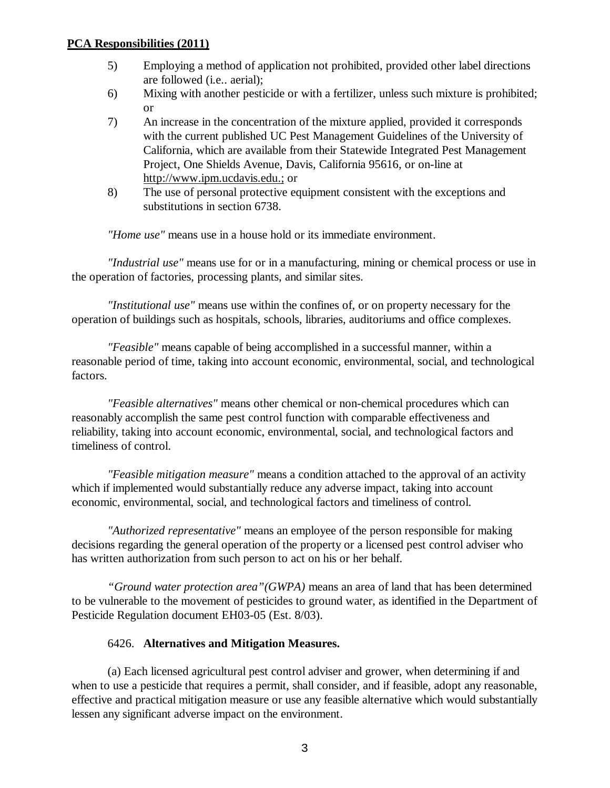- 5) Employing a method of application not prohibited, provided other label directions are followed (i.e.. aerial);
- 6) Mixing with another pesticide or with a fertilizer, unless such mixture is prohibited; or
- 7) An increase in the concentration of the mixture applied, provided it corresponds with the current published UC Pest Management Guidelines of the University of California, which are available from their Statewide Integrated Pest Management Project, One Shields Avenue, Davis, California 95616, or on-line at http://www.ipm.ucdavis.edu.; or
- 8) The use of personal protective equipment consistent with the exceptions and substitutions in section 6738.

*"Home use"* means use in a house hold or its immediate environment.

*"Industrial use"* means use for or in a manufacturing, mining or chemical process or use in the operation of factories, processing plants, and similar sites.

*"Institutional use"* means use within the confines of, or on property necessary for the operation of buildings such as hospitals, schools, libraries, auditoriums and office complexes.

*"Feasible"* means capable of being accomplished in a successful manner, within a reasonable period of time, taking into account economic, environmental, social, and technological factors.

*"Feasible alternatives"* means other chemical or non-chemical procedures which can reasonably accomplish the same pest control function with comparable effectiveness and reliability, taking into account economic, environmental, social, and technological factors and timeliness of control.

*"Feasible mitigation measure"* means a condition attached to the approval of an activity which if implemented would substantially reduce any adverse impact, taking into account economic, environmental, social, and technological factors and timeliness of control.

*"Authorized representative"* means an employee of the person responsible for making decisions regarding the general operation of the property or a licensed pest control adviser who has written authorization from such person to act on his or her behalf.

*"Ground water protection area"(GWPA)* means an area of land that has been determined to be vulnerable to the movement of pesticides to ground water, as identified in the Department of Pesticide Regulation document EH03-05 (Est. 8/03).

# 6426. **Alternatives and Mitigation Measures.**

(a) Each licensed agricultural pest control adviser and grower, when determining if and when to use a pesticide that requires a permit, shall consider, and if feasible, adopt any reasonable, effective and practical mitigation measure or use any feasible alternative which would substantially lessen any significant adverse impact on the environment.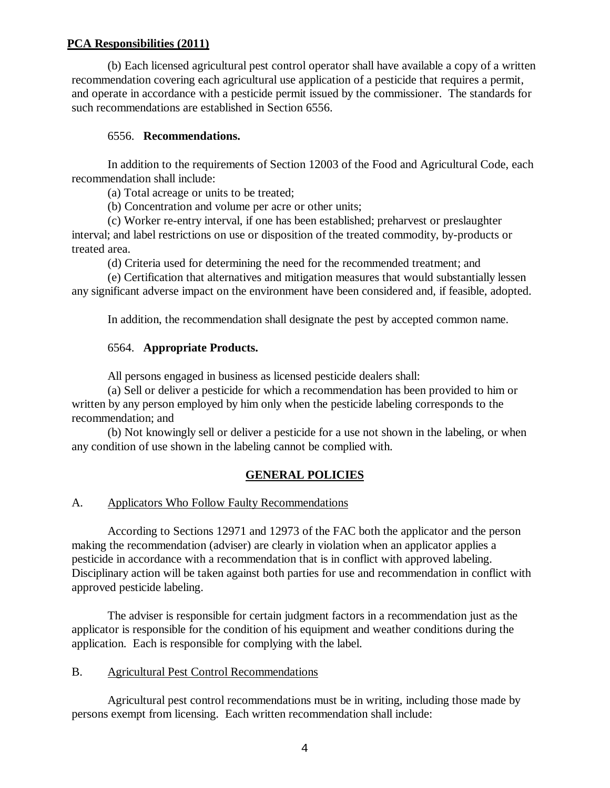(b) Each licensed agricultural pest control operator shall have available a copy of a written recommendation covering each agricultural use application of a pesticide that requires a permit, and operate in accordance with a pesticide permit issued by the commissioner. The standards for such recommendations are established in Section 6556.

## 6556. **Recommendations.**

In addition to the requirements of Section 12003 of the Food and Agricultural Code, each recommendation shall include:

(a) Total acreage or units to be treated;

(b) Concentration and volume per acre or other units;

(c) Worker re-entry interval, if one has been established; preharvest or preslaughter interval; and label restrictions on use or disposition of the treated commodity, by-products or treated area.

(d) Criteria used for determining the need for the recommended treatment; and

(e) Certification that alternatives and mitigation measures that would substantially lessen any significant adverse impact on the environment have been considered and, if feasible, adopted.

In addition, the recommendation shall designate the pest by accepted common name.

# 6564. **Appropriate Products.**

All persons engaged in business as licensed pesticide dealers shall:

(a) Sell or deliver a pesticide for which a recommendation has been provided to him or written by any person employed by him only when the pesticide labeling corresponds to the recommendation; and

(b) Not knowingly sell or deliver a pesticide for a use not shown in the labeling, or when any condition of use shown in the labeling cannot be complied with.

# **GENERAL POLICIES**

## A. Applicators Who Follow Faulty Recommendations

According to Sections 12971 and 12973 of the FAC both the applicator and the person making the recommendation (adviser) are clearly in violation when an applicator applies a pesticide in accordance with a recommendation that is in conflict with approved labeling. Disciplinary action will be taken against both parties for use and recommendation in conflict with approved pesticide labeling.

The adviser is responsible for certain judgment factors in a recommendation just as the applicator is responsible for the condition of his equipment and weather conditions during the application. Each is responsible for complying with the label.

## B. Agricultural Pest Control Recommendations

Agricultural pest control recommendations must be in writing, including those made by persons exempt from licensing. Each written recommendation shall include: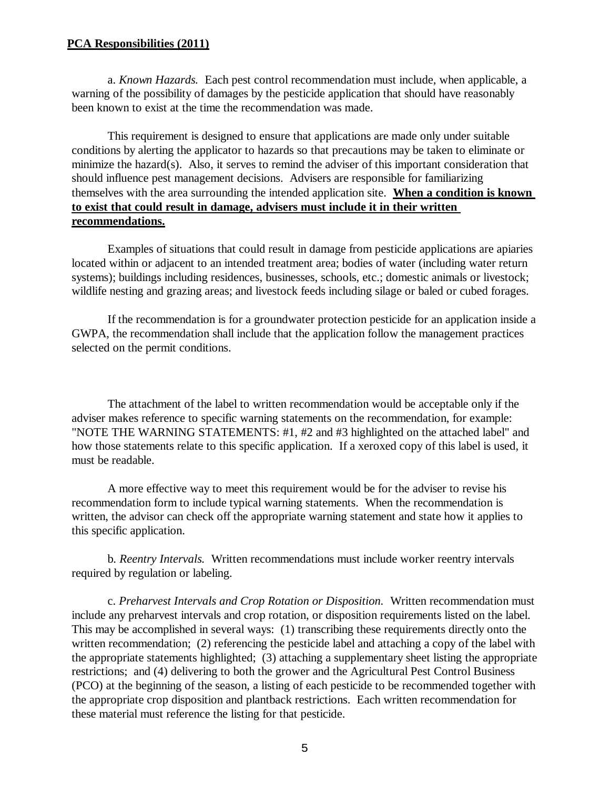a. *Known Hazards.* Each pest control recommendation must include, when applicable, a warning of the possibility of damages by the pesticide application that should have reasonably been known to exist at the time the recommendation was made.

This requirement is designed to ensure that applications are made only under suitable conditions by alerting the applicator to hazards so that precautions may be taken to eliminate or minimize the hazard(s). Also, it serves to remind the adviser of this important consideration that should influence pest management decisions. Advisers are responsible for familiarizing themselves with the area surrounding the intended application site. **When a condition is known to exist that could result in damage, advisers must include it in their written recommendations.**

Examples of situations that could result in damage from pesticide applications are apiaries located within or adjacent to an intended treatment area; bodies of water (including water return systems); buildings including residences, businesses, schools, etc.; domestic animals or livestock; wildlife nesting and grazing areas; and livestock feeds including silage or baled or cubed forages.

If the recommendation is for a groundwater protection pesticide for an application inside a GWPA, the recommendation shall include that the application follow the management practices selected on the permit conditions.

The attachment of the label to written recommendation would be acceptable only if the adviser makes reference to specific warning statements on the recommendation, for example: "NOTE THE WARNING STATEMENTS: #1, #2 and #3 highlighted on the attached label" and how those statements relate to this specific application. If a xeroxed copy of this label is used, it must be readable.

A more effective way to meet this requirement would be for the adviser to revise his recommendation form to include typical warning statements. When the recommendation is written, the advisor can check off the appropriate warning statement and state how it applies to this specific application.

b. *Reentry Intervals.* Written recommendations must include worker reentry intervals required by regulation or labeling.

c. *Preharvest Intervals and Crop Rotation or Disposition.* Written recommendation must include any preharvest intervals and crop rotation, or disposition requirements listed on the label. This may be accomplished in several ways: (1) transcribing these requirements directly onto the written recommendation; (2) referencing the pesticide label and attaching a copy of the label with the appropriate statements highlighted; (3) attaching a supplementary sheet listing the appropriate restrictions; and (4) delivering to both the grower and the Agricultural Pest Control Business (PCO) at the beginning of the season, a listing of each pesticide to be recommended together with the appropriate crop disposition and plantback restrictions. Each written recommendation for these material must reference the listing for that pesticide.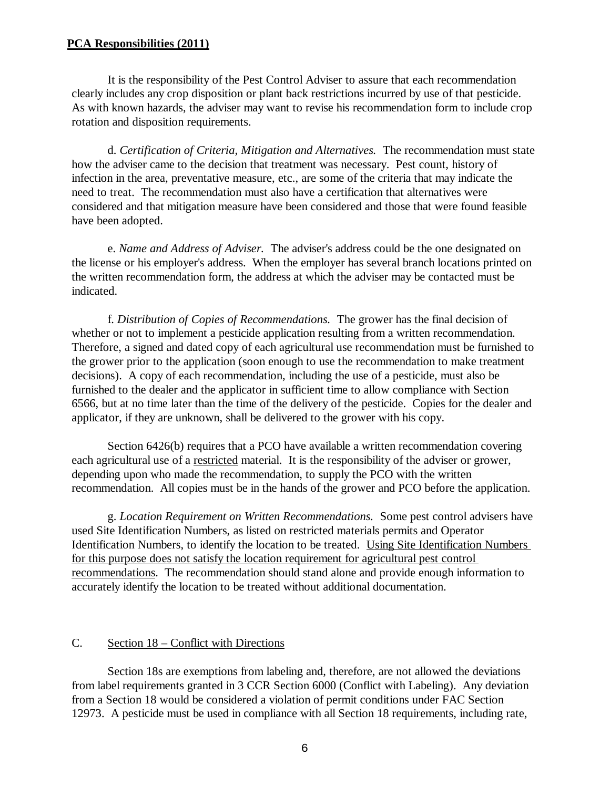It is the responsibility of the Pest Control Adviser to assure that each recommendation clearly includes any crop disposition or plant back restrictions incurred by use of that pesticide. As with known hazards, the adviser may want to revise his recommendation form to include crop rotation and disposition requirements.

d. *Certification of Criteria, Mitigation and Alternatives.* The recommendation must state how the adviser came to the decision that treatment was necessary. Pest count, history of infection in the area, preventative measure, etc., are some of the criteria that may indicate the need to treat. The recommendation must also have a certification that alternatives were considered and that mitigation measure have been considered and those that were found feasible have been adopted.

e. *Name and Address of Adviser.* The adviser's address could be the one designated on the license or his employer's address. When the employer has several branch locations printed on the written recommendation form, the address at which the adviser may be contacted must be indicated.

f. *Distribution of Copies of Recommendations.* The grower has the final decision of whether or not to implement a pesticide application resulting from a written recommendation. Therefore, a signed and dated copy of each agricultural use recommendation must be furnished to the grower prior to the application (soon enough to use the recommendation to make treatment decisions). A copy of each recommendation, including the use of a pesticide, must also be furnished to the dealer and the applicator in sufficient time to allow compliance with Section 6566, but at no time later than the time of the delivery of the pesticide. Copies for the dealer and applicator, if they are unknown, shall be delivered to the grower with his copy.

Section 6426(b) requires that a PCO have available a written recommendation covering each agricultural use of a restricted material. It is the responsibility of the adviser or grower, depending upon who made the recommendation, to supply the PCO with the written recommendation. All copies must be in the hands of the grower and PCO before the application.

g. *Location Requirement on Written Recommendations.* Some pest control advisers have used Site Identification Numbers, as listed on restricted materials permits and Operator Identification Numbers, to identify the location to be treated. Using Site Identification Numbers for this purpose does not satisfy the location requirement for agricultural pest control recommendations. The recommendation should stand alone and provide enough information to accurately identify the location to be treated without additional documentation.

## C. Section 18 – Conflict with Directions

Section 18s are exemptions from labeling and, therefore, are not allowed the deviations from label requirements granted in 3 CCR Section 6000 (Conflict with Labeling). Any deviation from a Section 18 would be considered a violation of permit conditions under FAC Section 12973. A pesticide must be used in compliance with all Section 18 requirements, including rate,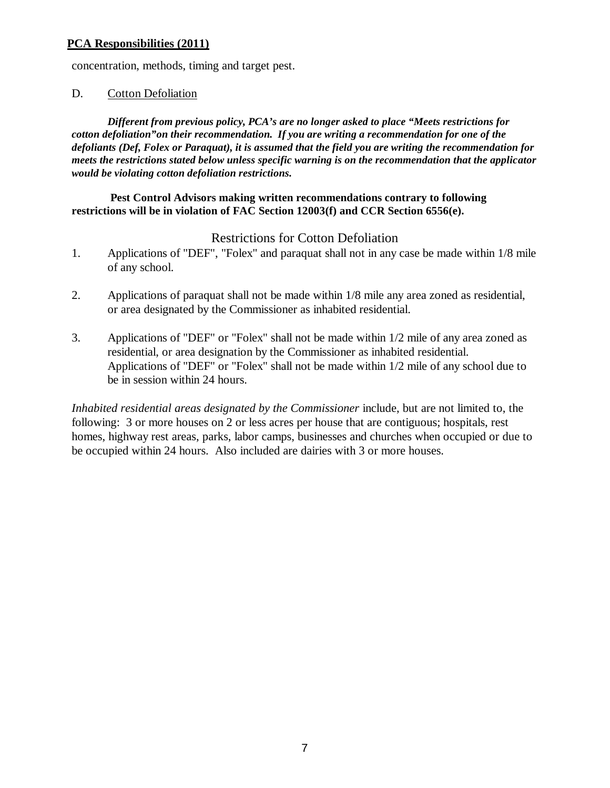concentration, methods, timing and target pest.

## D. Cotton Defoliation

*Different from previous policy, PCA's are no longer asked to place "Meets restrictions for cotton defoliation"on their recommendation. If you are writing a recommendation for one of the defoliants (Def, Folex or Paraquat), it is assumed that the field you are writing the recommendation for meets the restrictions stated below unless specific warning is on the recommendation that the applicator would be violating cotton defoliation restrictions.* 

## **Pest Control Advisors making written recommendations contrary to following restrictions will be in violation of FAC Section 12003(f) and CCR Section 6556(e).**

# Restrictions for Cotton Defoliation

- 1. Applications of "DEF", "Folex" and paraquat shall not in any case be made within 1/8 mile of any school.
- 2. Applications of paraquat shall not be made within 1/8 mile any area zoned as residential, or area designated by the Commissioner as inhabited residential.
- 3. Applications of "DEF" or "Folex" shall not be made within 1/2 mile of any area zoned as residential, or area designation by the Commissioner as inhabited residential. Applications of "DEF" or "Folex" shall not be made within 1/2 mile of any school due to be in session within 24 hours.

*Inhabited residential areas designated by the Commissioner* include, but are not limited to, the following: 3 or more houses on 2 or less acres per house that are contiguous; hospitals, rest homes, highway rest areas, parks, labor camps, businesses and churches when occupied or due to be occupied within 24 hours. Also included are dairies with 3 or more houses.